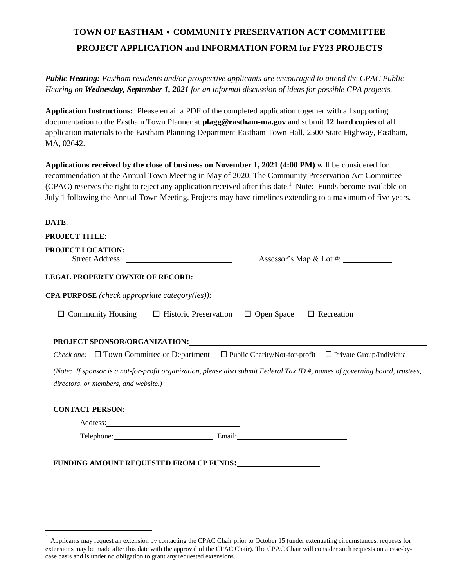# **TOWN OF EASTHAM • COMMUNITY PRESERVATION ACT COMMITTEE PROJECT APPLICATION and INFORMATION FORM for FY23 PROJECTS**

*Public Hearing: Eastham residents and/or prospective applicants are encouraged to attend the CPAC Public Hearing on Wednesday, September 1, 2021 for an informal discussion of ideas for possible CPA projects.*

**Application Instructions:** Please email a PDF of the completed application together with all supporting documentation to the Eastham Town Planner at **plagg@eastham-ma.gov** and submit **12 hard copies** of all application materials to the Eastham Planning Department Eastham Town Hall, 2500 State Highway, Eastham, MA, 02642.

**Applications received by the close of business on November 1, 2021 (4:00 PM)** will be considered for recommendation at the Annual Town Meeting in May of 2020. The Community Preservation Act Committee (CPAC) reserves the right to reject any application received after this date. <sup>1</sup> Note: Funds become available on July 1 following the Annual Town Meeting. Projects may have timelines extending to a maximum of five years.

| DATE: ______________________                                                                                                                                                                                                   |                          |
|--------------------------------------------------------------------------------------------------------------------------------------------------------------------------------------------------------------------------------|--------------------------|
|                                                                                                                                                                                                                                |                          |
| <b>PROJECT LOCATION:</b><br>Street Address:                                                                                                                                                                                    |                          |
|                                                                                                                                                                                                                                |                          |
| <b>CPA PURPOSE</b> (check appropriate category(ies)):                                                                                                                                                                          |                          |
| $\Box$ Community Housing $\Box$ Historic Preservation $\Box$ Open Space $\Box$ Recreation                                                                                                                                      |                          |
| PROJECT SPONSOR/ORGANIZATION: University of the contract of the contract of the contract of the contract of the contract of the contract of the contract of the contract of the contract of the contract of the contract of th |                          |
| <i>Check one:</i> $\Box$ Town Committee or Department $\Box$ Public Charity/Not-for-profit $\Box$ Private Group/Individual                                                                                                     |                          |
| (Note: If sponsor is a not-for-profit organization, please also submit Federal Tax ID #, names of governing board, trustees,                                                                                                   |                          |
| directors, or members, and website.)                                                                                                                                                                                           |                          |
| CONTACT PERSON:                                                                                                                                                                                                                |                          |
|                                                                                                                                                                                                                                |                          |
|                                                                                                                                                                                                                                | Telephone: Email: Email: |

 $\overline{a}$ 

<sup>1</sup> Applicants may request an extension by contacting the CPAC Chair prior to October 15 (under extenuating circumstances, requests for extensions may be made after this date with the approval of the CPAC Chair). The CPAC Chair will consider such requests on a case-bycase basis and is under no obligation to grant any requested extensions.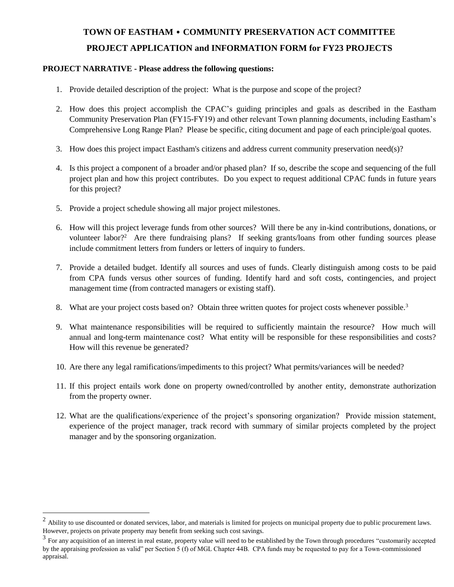## **TOWN OF EASTHAM • COMMUNITY PRESERVATION ACT COMMITTEE PROJECT APPLICATION and INFORMATION FORM for FY23 PROJECTS**

#### **PROJECT NARRATIVE - Please address the following questions:**

- 1. Provide detailed description of the project: What is the purpose and scope of the project?
- 2. How does this project accomplish the CPAC's guiding principles and goals as described in the Eastham Community Preservation Plan (FY15-FY19) and other relevant Town planning documents, including Eastham's Comprehensive Long Range Plan? Please be specific, citing document and page of each principle/goal quotes.
- 3. How does this project impact Eastham's citizens and address current community preservation need(s)?
- 4. Is this project a component of a broader and/or phased plan? If so, describe the scope and sequencing of the full project plan and how this project contributes. Do you expect to request additional CPAC funds in future years for this project?
- 5. Provide a project schedule showing all major project milestones.

 $\overline{a}$ 

- 6. How will this project leverage funds from other sources? Will there be any in-kind contributions, donations, or volunteer labor?<sup>2</sup> Are there fundraising plans? If seeking grants/loans from other funding sources please include commitment letters from funders or letters of inquiry to funders.
- 7. Provide a detailed budget. Identify all sources and uses of funds. Clearly distinguish among costs to be paid from CPA funds versus other sources of funding. Identify hard and soft costs, contingencies, and project management time (from contracted managers or existing staff).
- 8. What are your project costs based on? Obtain three written quotes for project costs whenever possible.<sup>3</sup>
- 9. What maintenance responsibilities will be required to sufficiently maintain the resource? How much will annual and long-term maintenance cost? What entity will be responsible for these responsibilities and costs? How will this revenue be generated?
- 10. Are there any legal ramifications/impediments to this project? What permits/variances will be needed?
- 11. If this project entails work done on property owned/controlled by another entity, demonstrate authorization from the property owner.
- 12. What are the qualifications/experience of the project's sponsoring organization? Provide mission statement, experience of the project manager, track record with summary of similar projects completed by the project manager and by the sponsoring organization.

 $2$  Ability to use discounted or donated services, labor, and materials is limited for projects on municipal property due to public procurement laws. However, projects on private property may benefit from seeking such cost savings.

 $3$  For any acquisition of an interest in real estate, property value will need to be established by the Town through procedures "customarily accepted by the appraising profession as valid" per Section 5 (f) of MGL Chapter 44B. CPA funds may be requested to pay for a Town-commissioned appraisal.